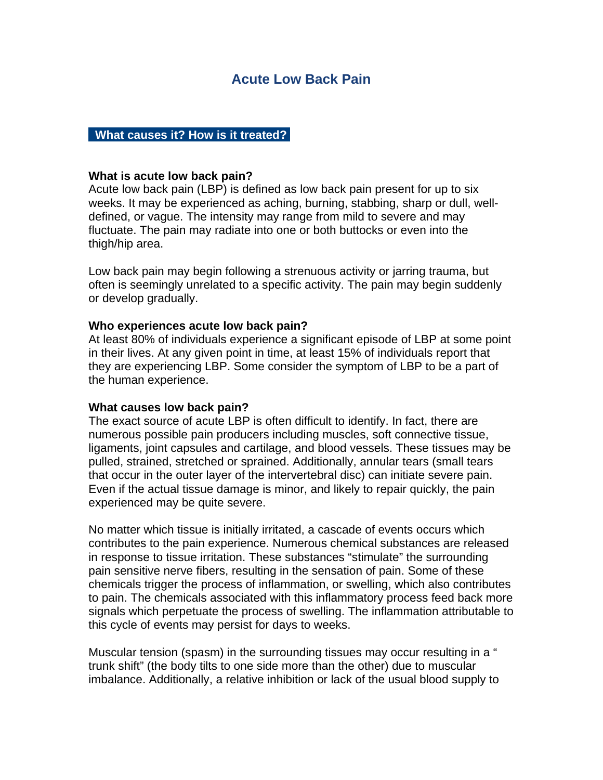# **Acute Low Back Pain**

### **What causes it? How is it treated?**

#### **What is acute low back pain?**

Acute low back pain (LBP) is defined as low back pain present for up to six weeks. It may be experienced as aching, burning, stabbing, sharp or dull, welldefined, or vague. The intensity may range from mild to severe and may fluctuate. The pain may radiate into one or both buttocks or even into the thigh/hip area.

Low back pain may begin following a strenuous activity or jarring trauma, but often is seemingly unrelated to a specific activity. The pain may begin suddenly or develop gradually.

### **Who experiences acute low back pain?**

At least 80% of individuals experience a significant episode of LBP at some point in their lives. At any given point in time, at least 15% of individuals report that they are experiencing LBP. Some consider the symptom of LBP to be a part of the human experience.

#### **What causes low back pain?**

The exact source of acute LBP is often difficult to identify. In fact, there are numerous possible pain producers including muscles, soft connective tissue, ligaments, joint capsules and cartilage, and blood vessels. These tissues may be pulled, strained, stretched or sprained. Additionally, annular tears (small tears that occur in the outer layer of the intervertebral disc) can initiate severe pain. Even if the actual tissue damage is minor, and likely to repair quickly, the pain experienced may be quite severe.

No matter which tissue is initially irritated, a cascade of events occurs which contributes to the pain experience. Numerous chemical substances are released in response to tissue irritation. These substances "stimulate" the surrounding pain sensitive nerve fibers, resulting in the sensation of pain. Some of these chemicals trigger the process of inflammation, or swelling, which also contributes to pain. The chemicals associated with this inflammatory process feed back more signals which perpetuate the process of swelling. The inflammation attributable to this cycle of events may persist for days to weeks.

Muscular tension (spasm) in the surrounding tissues may occur resulting in a " trunk shift" (the body tilts to one side more than the other) due to muscular imbalance. Additionally, a relative inhibition or lack of the usual blood supply to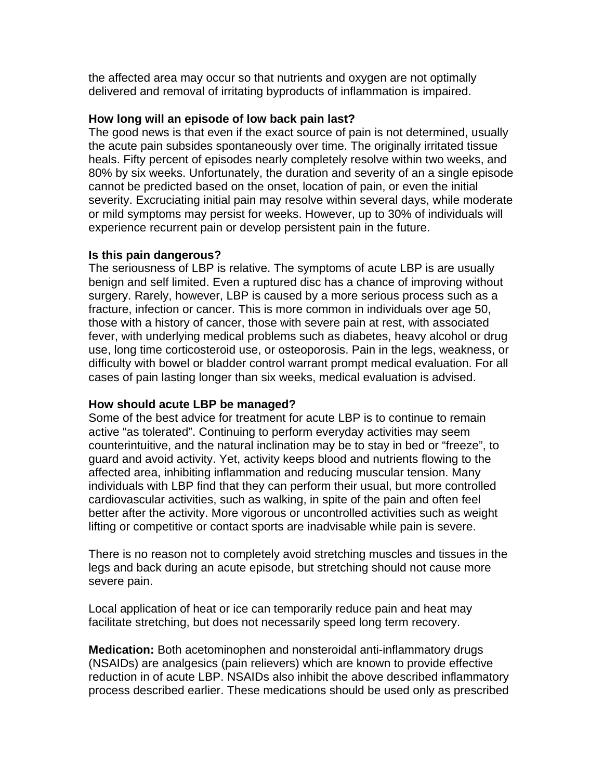the affected area may occur so that nutrients and oxygen are not optimally delivered and removal of irritating byproducts of inflammation is impaired.

# **How long will an episode of low back pain last?**

The good news is that even if the exact source of pain is not determined, usually the acute pain subsides spontaneously over time. The originally irritated tissue heals. Fifty percent of episodes nearly completely resolve within two weeks, and 80% by six weeks. Unfortunately, the duration and severity of an a single episode cannot be predicted based on the onset, location of pain, or even the initial severity. Excruciating initial pain may resolve within several days, while moderate or mild symptoms may persist for weeks. However, up to 30% of individuals will experience recurrent pain or develop persistent pain in the future.

## **Is this pain dangerous?**

The seriousness of LBP is relative. The symptoms of acute LBP is are usually benign and self limited. Even a ruptured disc has a chance of improving without surgery. Rarely, however, LBP is caused by a more serious process such as a fracture, infection or cancer. This is more common in individuals over age 50, those with a history of cancer, those with severe pain at rest, with associated fever, with underlying medical problems such as diabetes, heavy alcohol or drug use, long time corticosteroid use, or osteoporosis. Pain in the legs, weakness, or difficulty with bowel or bladder control warrant prompt medical evaluation. For all cases of pain lasting longer than six weeks, medical evaluation is advised.

# **How should acute LBP be managed?**

Some of the best advice for treatment for acute LBP is to continue to remain active "as tolerated". Continuing to perform everyday activities may seem counterintuitive, and the natural inclination may be to stay in bed or "freeze", to guard and avoid activity. Yet, activity keeps blood and nutrients flowing to the affected area, inhibiting inflammation and reducing muscular tension. Many individuals with LBP find that they can perform their usual, but more controlled cardiovascular activities, such as walking, in spite of the pain and often feel better after the activity. More vigorous or uncontrolled activities such as weight lifting or competitive or contact sports are inadvisable while pain is severe.

There is no reason not to completely avoid stretching muscles and tissues in the legs and back during an acute episode, but stretching should not cause more severe pain.

Local application of heat or ice can temporarily reduce pain and heat may facilitate stretching, but does not necessarily speed long term recovery.

**Medication:** Both acetominophen and nonsteroidal anti-inflammatory drugs (NSAIDs) are analgesics (pain relievers) which are known to provide effective reduction in of acute LBP. NSAIDs also inhibit the above described inflammatory process described earlier. These medications should be used only as prescribed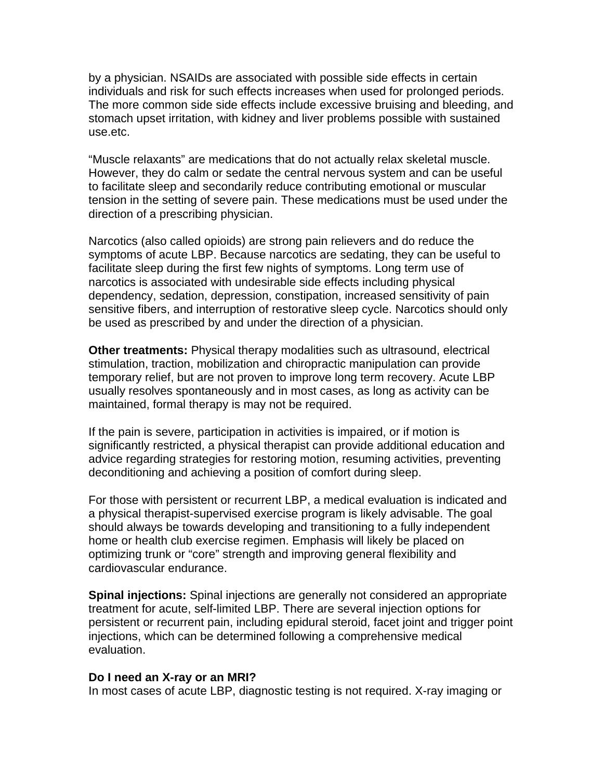by a physician. NSAIDs are associated with possible side effects in certain individuals and risk for such effects increases when used for prolonged periods. The more common side side effects include excessive bruising and bleeding, and stomach upset irritation, with kidney and liver problems possible with sustained use.etc.

"Muscle relaxants" are medications that do not actually relax skeletal muscle. However, they do calm or sedate the central nervous system and can be useful to facilitate sleep and secondarily reduce contributing emotional or muscular tension in the setting of severe pain. These medications must be used under the direction of a prescribing physician.

Narcotics (also called opioids) are strong pain relievers and do reduce the symptoms of acute LBP. Because narcotics are sedating, they can be useful to facilitate sleep during the first few nights of symptoms. Long term use of narcotics is associated with undesirable side effects including physical dependency, sedation, depression, constipation, increased sensitivity of pain sensitive fibers, and interruption of restorative sleep cycle. Narcotics should only be used as prescribed by and under the direction of a physician.

**Other treatments:** Physical therapy modalities such as ultrasound, electrical stimulation, traction, mobilization and chiropractic manipulation can provide temporary relief, but are not proven to improve long term recovery. Acute LBP usually resolves spontaneously and in most cases, as long as activity can be maintained, formal therapy is may not be required.

If the pain is severe, participation in activities is impaired, or if motion is significantly restricted, a physical therapist can provide additional education and advice regarding strategies for restoring motion, resuming activities, preventing deconditioning and achieving a position of comfort during sleep.

For those with persistent or recurrent LBP, a medical evaluation is indicated and a physical therapist-supervised exercise program is likely advisable. The goal should always be towards developing and transitioning to a fully independent home or health club exercise regimen. Emphasis will likely be placed on optimizing trunk or "core" strength and improving general flexibility and cardiovascular endurance.

**Spinal injections:** Spinal injections are generally not considered an appropriate treatment for acute, self-limited LBP. There are several injection options for persistent or recurrent pain, including epidural steroid, facet joint and trigger point injections, which can be determined following a comprehensive medical evaluation.

### **Do I need an X-ray or an MRI?**

In most cases of acute LBP, diagnostic testing is not required. X-ray imaging or